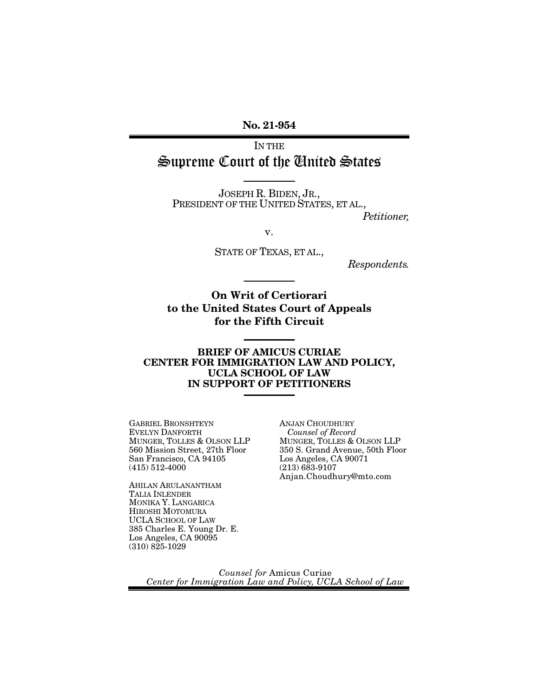No. 21-954

IN THE Supreme Court of the United States

JOSEPH R. BIDEN, JR., PRESIDENT OF THE UNITED STATES, ET AL.,

*Petitioner,*

v.

STATE OF TEXAS, ET AL.,

*Respondents.*

On Writ of Certiorari to the United States Court of Appeals for the Fifth Circuit

#### BRIEF OF AMICUS CURIAE CENTER FOR IMMIGRATION LAW AND POLICY, UCLA SCHOOL OF LAW IN SUPPORT OF PETITIONERS

GABRIEL BRONSHTEYN EVELYN DANFORTH MUNGER, TOLLES & OLSON LLP 560 Mission Street, 27th Floor San Francisco, CA 94105 (415) 512-4000

AHILAN ARULANANTHAM TALIA INLENDER MONIKA Y. LANGARICA HIROSHI MOTOMURA UCLA SCHOOL OF LAW 385 Charles E. Young Dr. E. Los Angeles, CA 90095  $(310) 825 - 1029$ 

ANJAN CHOUDHURY *Counsel of Record* MUNGER, TOLLES & OLSON LLP 350 S. Grand Avenue, 50th Floor Los Angeles, CA 90071  $(213) 683 - 9107$ Anjan.Choudhury@mto.com

*Counsel for* Amicus Curiae *Center for Immigration Law and Policy, UCLA School of Law*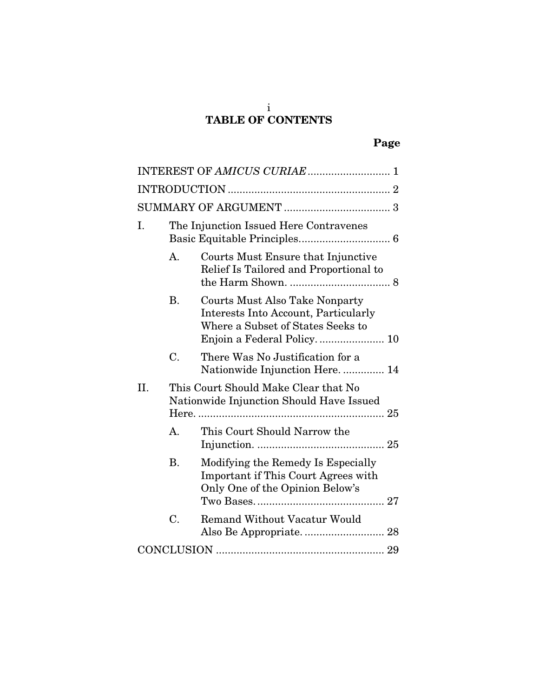#### i TABLE OF CONTENTS

|     |                                                                                  | INTEREST OF AMICUS CURIAE  1                                                                                       |  |  |
|-----|----------------------------------------------------------------------------------|--------------------------------------------------------------------------------------------------------------------|--|--|
|     |                                                                                  |                                                                                                                    |  |  |
|     |                                                                                  |                                                                                                                    |  |  |
| Ι.  | The Injunction Issued Here Contravenes                                           |                                                                                                                    |  |  |
|     | A.                                                                               | Courts Must Ensure that Injunctive<br>Relief Is Tailored and Proportional to                                       |  |  |
|     | <b>B.</b>                                                                        | <b>Courts Must Also Take Nonparty</b><br>Interests Into Account, Particularly<br>Where a Subset of States Seeks to |  |  |
|     | C.                                                                               | There Was No Justification for a<br>Nationwide Injunction Here 14                                                  |  |  |
| II. | This Court Should Make Clear that No<br>Nationwide Injunction Should Have Issued |                                                                                                                    |  |  |
|     | $\mathsf{A}$ .                                                                   | This Court Should Narrow the                                                                                       |  |  |
|     | <b>B.</b>                                                                        | Modifying the Remedy Is Especially<br>Important if This Court Agrees with<br>Only One of the Opinion Below's       |  |  |
|     | C.                                                                               | <b>Remand Without Vacatur Would</b>                                                                                |  |  |
|     |                                                                                  |                                                                                                                    |  |  |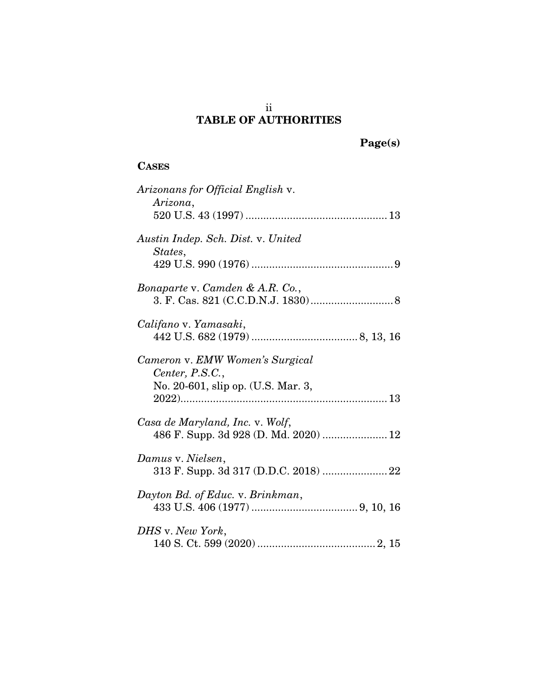## ii TABLE OF AUTHORITIES

Page(s)

# **CASES**

| Arizonans for Official English v.<br>Arizona,                                            |
|------------------------------------------------------------------------------------------|
| Austin Indep. Sch. Dist. v. United<br>States,                                            |
| Bonaparte v. Camden & A.R. Co.,                                                          |
| Califano v. Yamasaki,                                                                    |
| Cameron v. EMW Women's Surgical<br>Center, P.S.C.,<br>No. 20-601, slip op. (U.S. Mar. 3, |
| Casa de Maryland, Inc. v. Wolf,                                                          |
| Damus v. Nielsen,<br>313 F. Supp. 3d 317 (D.D.C. 2018)  22                               |
| Dayton Bd. of Educ. v. Brinkman,                                                         |
| DHS v. New York,                                                                         |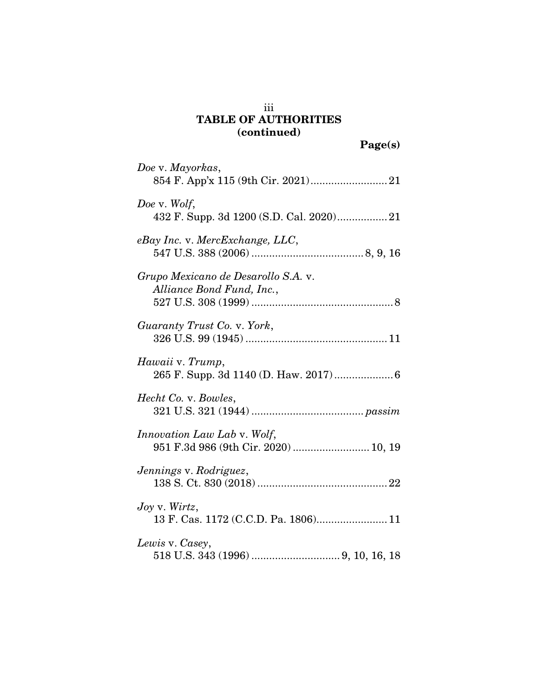# iii TABLE OF AUTHORITIES (continued)

| Doe v. Mayorkas,                                                           |
|----------------------------------------------------------------------------|
| Doe v. Wolf,<br>432 F. Supp. 3d 1200 (S.D. Cal. 2020) 21                   |
| eBay Inc. v. MercExchange, LLC,                                            |
| Grupo Mexicano de Desarollo S.A. v.<br>Alliance Bond Fund, Inc.,           |
| Guaranty Trust Co. v. York,                                                |
| Hawaii v. Trump,<br>265 F. Supp. 3d 1140 (D. Haw. 2017) 6                  |
| Hecht Co. v. Bowles,                                                       |
| <i>Innovation Law Lab v. Wolf,</i><br>951 F.3d 986 (9th Cir. 2020)  10, 19 |
| Jennings v. Rodriguez,                                                     |
| $Joy$ v. Wirtz,<br>13 F. Cas. 1172 (C.C.D. Pa. 1806) 11                    |
| Lewis v. Casey,                                                            |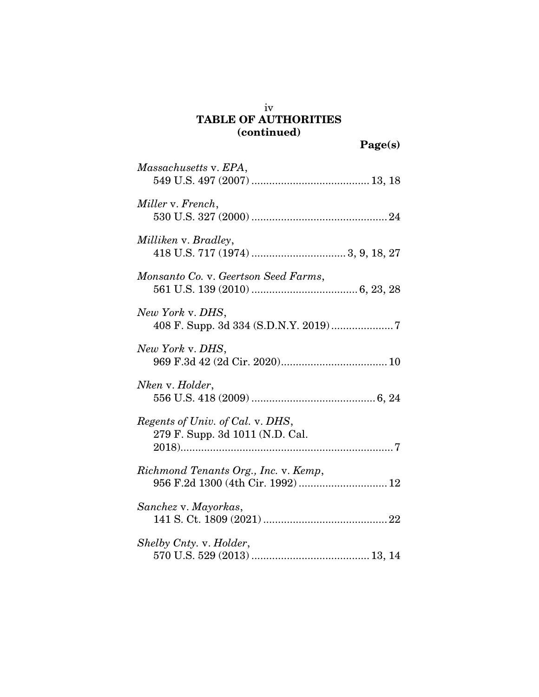# iv TABLE OF AUTHORITIES (continued)

| Massachusetts v. EPA,                                                     |
|---------------------------------------------------------------------------|
| Miller v. French,                                                         |
| Milliken v. Bradley,                                                      |
| Monsanto Co. v. Geertson Seed Farms,                                      |
| New York v. DHS,<br>408 F. Supp. 3d 334 (S.D.N.Y. 2019)7                  |
| New York v. DHS,                                                          |
| Nken v. Holder,                                                           |
| Regents of Univ. of Cal. v. DHS,<br>279 F. Supp. 3d 1011 (N.D. Cal.       |
| Richmond Tenants Org., Inc. v. Kemp,<br>956 F.2d 1300 (4th Cir. 1992)  12 |
| Sanchez v. Mayorkas,                                                      |
| Shelby Cnty. v. Holder,                                                   |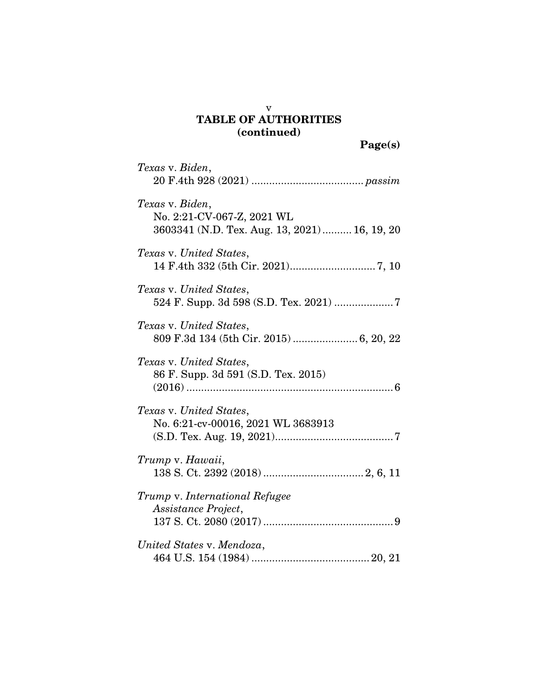## v TABLE OF AUTHORITIES (continued)

| Texas v. Biden,                                                                               |
|-----------------------------------------------------------------------------------------------|
| Texas v. Biden,<br>No. 2:21-CV-067-Z, 2021 WL<br>3603341 (N.D. Tex. Aug. 13, 2021) 16, 19, 20 |
| Texas v. United States,                                                                       |
| Texas v. United States,<br>524 F. Supp. 3d 598 (S.D. Tex. 2021) 7                             |
| Texas v. United States,<br>809 F.3d 134 (5th Cir. 2015)  6, 20, 22                            |
| Texas v. United States,<br>86 F. Supp. 3d 591 (S.D. Tex. 2015)                                |
| Texas v. United States,<br>No. 6:21-cv-00016, 2021 WL 3683913                                 |
| Trump v. Hawaii,                                                                              |
| Trump v. International Refugee                                                                |
| Assistance Project,                                                                           |
| United States v. Mendoza,                                                                     |
|                                                                                               |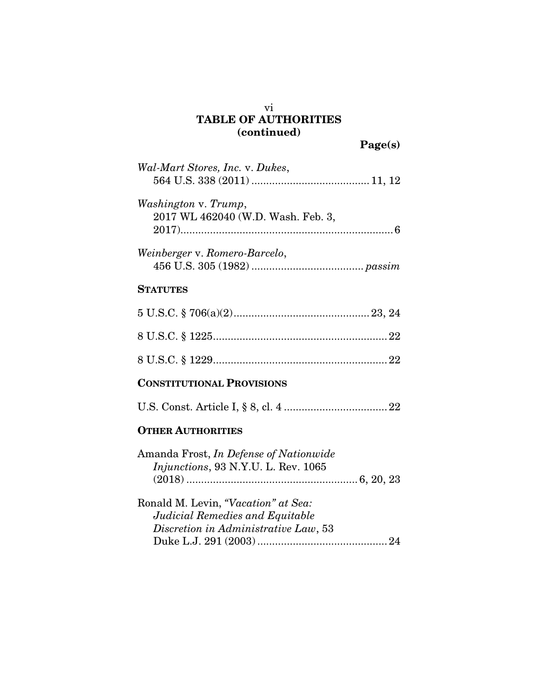# TABLE OF AUTHORITIES (continued)

| Wal-Mart Stores, Inc. v. Dukes,                                                                                |
|----------------------------------------------------------------------------------------------------------------|
| Washington v. Trump,<br>2017 WL 462040 (W.D. Wash. Feb. 3,                                                     |
| Weinberger v. Romero-Barcelo,                                                                                  |
| <b>STATUTES</b>                                                                                                |
|                                                                                                                |
|                                                                                                                |
|                                                                                                                |
| <b>CONSTITUTIONAL PROVISIONS</b>                                                                               |
|                                                                                                                |
| <b>OTHER AUTHORITIES</b>                                                                                       |
| Amanda Frost, In Defense of Nationwide<br>Injunctions, 93 N.Y.U. L. Rev. 1065                                  |
| Ronald M. Levin, "Vacation" at Sea:<br>Judicial Remedies and Equitable<br>Discretion in Administrative Law, 53 |

vi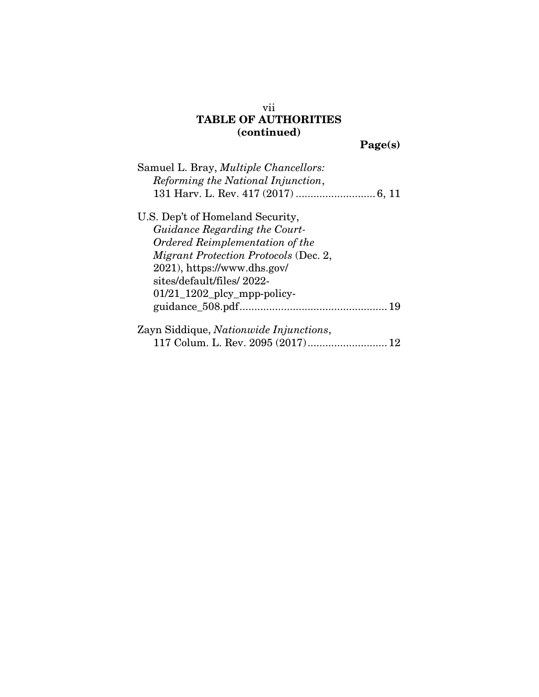## vii TABLE OF AUTHORITIES (continued)

Page(s)

| Samuel L. Bray, <i>Multiple Chancellors</i> : |
|-----------------------------------------------|
| Reforming the National Injunction,            |
|                                               |
| U.S. Dep't of Homeland Security,              |
| Guidance Regarding the Court-                 |
| Ordered Reimplementation of the               |
| <i>Migrant Protection Protocols</i> (Dec. 2,  |
| 2021), https://www.dhs.gov/                   |
| sites/default/files/2022-                     |
| $01/21$ 1202 plcy mpp-policy-                 |
|                                               |
| Zayn Siddique, Nationwide Injunctions,        |

117 Colum. L. Rev. 2095 (2017)...........................12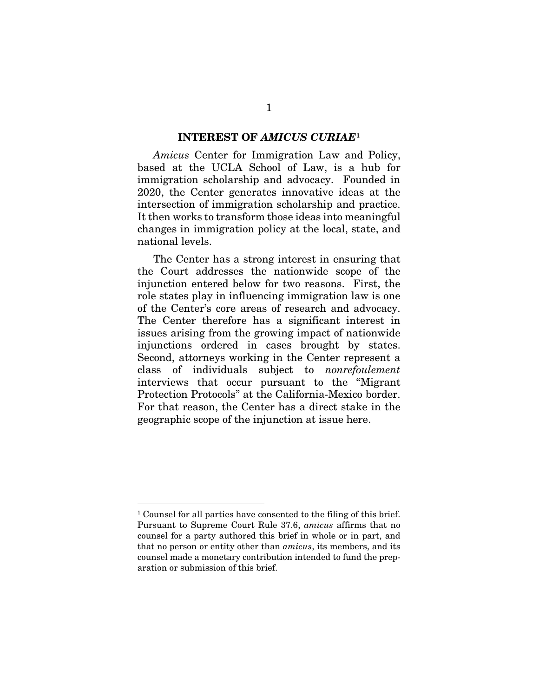#### INTEREST OF *AMICUS CURIAE*[1](#page-8-0)

*Amicus* Center for Immigration Law and Policy, based at the UCLA School of Law, is a hub for immigration scholarship and advocacy. Founded in 2020, the Center generates innovative ideas at the intersection of immigration scholarship and practice. It then works to transform those ideas into meaningful changes in immigration policy at the local, state, and national levels.

The Center has a strong interest in ensuring that the Court addresses the nationwide scope of the injunction entered below for two reasons. First, the role states play in influencing immigration law is one of the Center's core areas of research and advocacy. The Center therefore has a significant interest in issues arising from the growing impact of nationwide injunctions ordered in cases brought by states. Second, attorneys working in the Center represent a class of individuals subject to *nonrefoulement*  interviews that occur pursuant to the "Migrant Protection Protocols" at the California-Mexico border. For that reason, the Center has a direct stake in the geographic scope of the injunction at issue here.

<span id="page-8-0"></span> <sup>1</sup> Counsel for all parties have consented to the filing of this brief. Pursuant to Supreme Court Rule 37.6, *amicus* affirms that no counsel for a party authored this brief in whole or in part, and that no person or entity other than *amicus*, its members, and its counsel made a monetary contribution intended to fund the preparation or submission of this brief.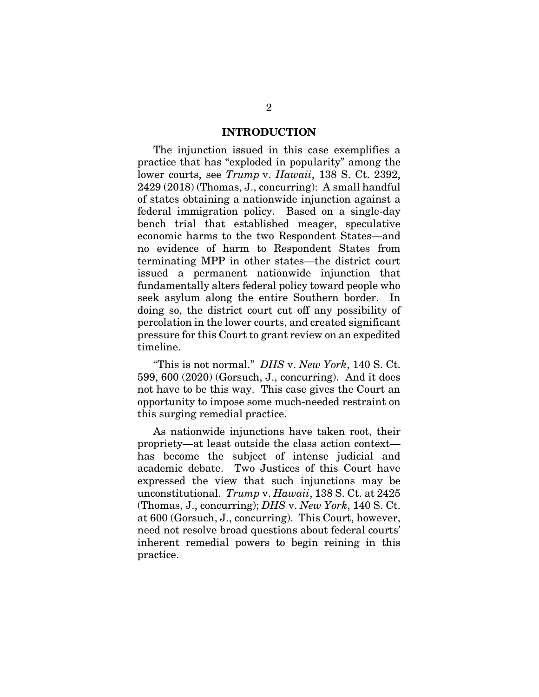#### INTRODUCTION

The injunction issued in this case exemplifies a practice that has "exploded in popularity" among the lower courts, see *Trump* v. *Hawaii*, 138 S. Ct. 2392, 2429 (2018) (Thomas, J., concurring): A small handful of states obtaining a nationwide injunction against a federal immigration policy. Based on a single-day bench trial that established meager, speculative economic harms to the two Respondent States—and no evidence of harm to Respondent States from terminating MPP in other states—the district court issued a permanent nationwide injunction that fundamentally alters federal policy toward people who seek asylum along the entire Southern border. In doing so, the district court cut off any possibility of percolation in the lower courts, and created significant pressure for this Court to grant review on an expedited timeline.

"This is not normal." *DHS* v. *New York*, 140 S. Ct. 599, 600 (2020) (Gorsuch, J., concurring). And it does not have to be this way. This case gives the Court an opportunity to impose some much-needed restraint on this surging remedial practice.

As nationwide injunctions have taken root, their propriety—at least outside the class action context has become the subject of intense judicial and academic debate. Two Justices of this Court have expressed the view that such injunctions may be unconstitutional. *Trump* v. *Hawaii*, 138 S. Ct. at 2425 (Thomas, J., concurring); *DHS* v. *New York*, 140 S. Ct. at 600 (Gorsuch, J., concurring). This Court, however, need not resolve broad questions about federal courts' inherent remedial powers to begin reining in this practice.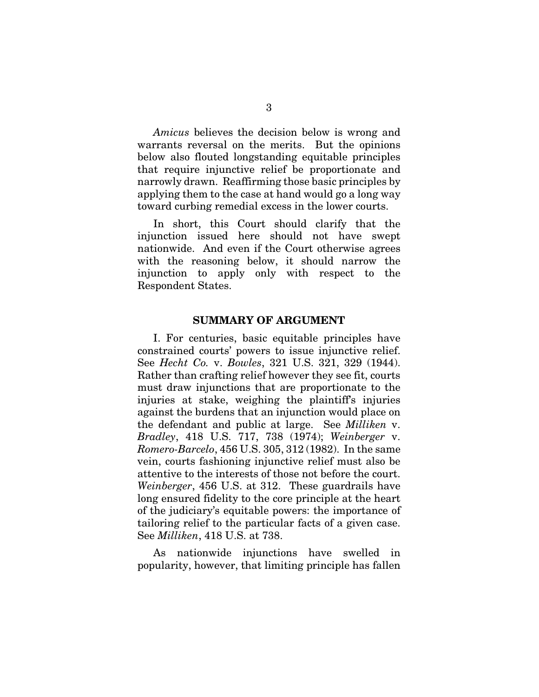*Amicus* believes the decision below is wrong and warrants reversal on the merits. But the opinions below also flouted longstanding equitable principles that require injunctive relief be proportionate and narrowly drawn. Reaffirming those basic principles by applying them to the case at hand would go a long way toward curbing remedial excess in the lower courts.

In short, this Court should clarify that the injunction issued here should not have swept nationwide. And even if the Court otherwise agrees with the reasoning below, it should narrow the injunction to apply only with respect to the Respondent States.

#### SUMMARY OF ARGUMENT

I. For centuries, basic equitable principles have constrained courts' powers to issue injunctive relief. See *Hecht Co.* v. *Bowles*, 321 U.S. 321, 329 (1944). Rather than crafting relief however they see fit, courts must draw injunctions that are proportionate to the injuries at stake, weighing the plaintiff's injuries against the burdens that an injunction would place on the defendant and public at large. See *Milliken* v. *Bradley*, 418 U.S. 717, 738 (1974); *Weinberger* v. *Romero-Barcelo*, 456 U.S. 305, 312 (1982). In the same vein, courts fashioning injunctive relief must also be attentive to the interests of those not before the court. *Weinberger*, 456 U.S. at 312. These guardrails have long ensured fidelity to the core principle at the heart of the judiciary's equitable powers: the importance of tailoring relief to the particular facts of a given case. See *Milliken*, 418 U.S. at 738.

As nationwide injunctions have swelled in popularity, however, that limiting principle has fallen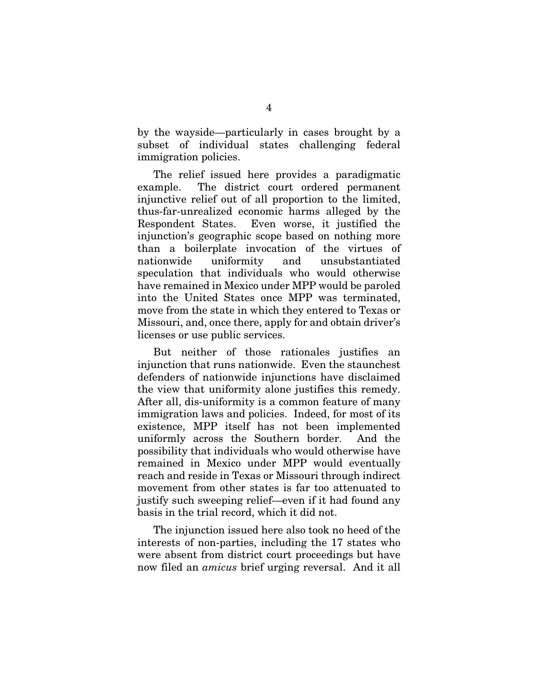by the wayside—particularly in cases brought by a subset of individual states challenging federal immigration policies.

The relief issued here provides a paradigmatic example. The district court ordered permanent injunctive relief out of all proportion to the limited, thus-far-unrealized economic harms alleged by the Respondent States. Even worse, it justified the injunction's geographic scope based on nothing more than a boilerplate invocation of the virtues of nationwide uniformity and unsubstantiated speculation that individuals who would otherwise have remained in Mexico under MPP would be paroled into the United States once MPP was terminated, move from the state in which they entered to Texas or Missouri, and, once there, apply for and obtain driver's licenses or use public services.

But neither of those rationales justifies an injunction that runs nationwide. Even the staunchest defenders of nationwide injunctions have disclaimed the view that uniformity alone justifies this remedy. After all, dis-uniformity is a common feature of many immigration laws and policies. Indeed, for most of its existence, MPP itself has not been implemented uniformly across the Southern border. And the possibility that individuals who would otherwise have remained in Mexico under MPP would eventually reach and reside in Texas or Missouri through indirect movement from other states is far too attenuated to justify such sweeping relief—even if it had found any basis in the trial record, which it did not.

The injunction issued here also took no heed of the interests of non-parties, including the 17 states who were absent from district court proceedings but have now filed an *amicus* brief urging reversal. And it all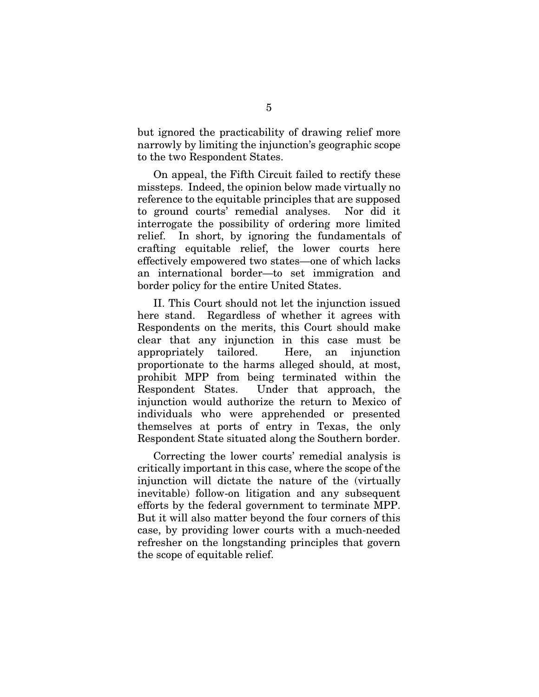but ignored the practicability of drawing relief more narrowly by limiting the injunction's geographic scope to the two Respondent States.

On appeal, the Fifth Circuit failed to rectify these missteps. Indeed, the opinion below made virtually no reference to the equitable principles that are supposed to ground courts' remedial analyses. Nor did it interrogate the possibility of ordering more limited relief. In short, by ignoring the fundamentals of crafting equitable relief, the lower courts here effectively empowered two states—one of which lacks an international border—to set immigration and border policy for the entire United States.

II. This Court should not let the injunction issued here stand. Regardless of whether it agrees with Respondents on the merits, this Court should make clear that any injunction in this case must be appropriately tailored. Here, an injunction proportionate to the harms alleged should, at most, prohibit MPP from being terminated within the Respondent States. Under that approach, the injunction would authorize the return to Mexico of individuals who were apprehended or presented themselves at ports of entry in Texas, the only Respondent State situated along the Southern border.

Correcting the lower courts' remedial analysis is critically important in this case, where the scope of the injunction will dictate the nature of the (virtually inevitable) follow-on litigation and any subsequent efforts by the federal government to terminate MPP. But it will also matter beyond the four corners of this case, by providing lower courts with a much-needed refresher on the longstanding principles that govern the scope of equitable relief.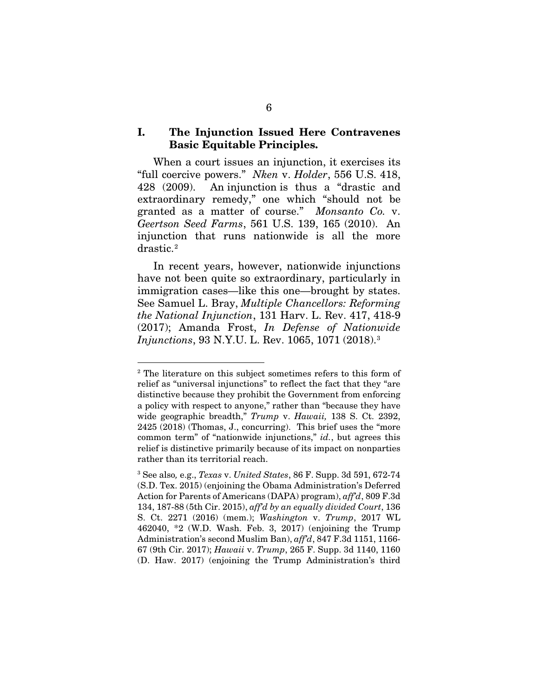### I. The Injunction Issued Here Contravenes Basic Equitable Principles.

When a court issues an injunction, it exercises its "full coercive powers." *Nken* v. *Holder*, 556 U.S. 418, 428 (2009). An injunction is thus a "drastic and extraordinary remedy," one which "should not be granted as a matter of course." *Monsanto Co.* v. *Geertson Seed Farms*, 561 U.S. 139, 165 (2010). An injunction that runs nationwide is all the more drastic.[2](#page-13-0)

In recent years, however, nationwide injunctions have not been quite so extraordinary, particularly in immigration cases—like this one—brought by states. See Samuel L. Bray, *Multiple Chancellors: Reforming the National Injunction*, 131 Harv. L. Rev. 417, 418-9 (2017); Amanda Frost, *In Defense of Nationwide Injunctions*, 93 N.Y.U. L. Rev. 1065, 1071 (2018). [3](#page-13-1)

<span id="page-13-0"></span> <sup>2</sup> The literature on this subject sometimes refers to this form of relief as "universal injunctions" to reflect the fact that they "are distinctive because they prohibit the Government from enforcing a policy with respect to anyone," rather than "because they have wide geographic breadth," *Trump* v. *Hawaii,* 138 S. Ct. 2392, 2425 (2018) (Thomas, J., concurring). This brief uses the "more common term" of "nationwide injunctions," *id.*, but agrees this relief is distinctive primarily because of its impact on nonparties rather than its territorial reach.

<span id="page-13-1"></span><sup>3</sup> See also*,* e.g., *Texas* v. *United States*, 86 F. Supp. 3d 591, 672-74 (S.D. Tex. 2015) (enjoining the Obama Administration's Deferred Action for Parents of Americans (DAPA) program), *aff'd*, 809 F.3d 134, 187-88 (5th Cir. 2015), *aff'd by an equally divided Court*, 136 S. Ct. 2271 (2016) (mem.); *Washington* v. *Trump*, 2017 WL 462040, \*2 (W.D. Wash. Feb. 3, 2017) (enjoining the Trump Administration's second Muslim Ban), *aff'd*, 847 F.3d 1151, 1166- 67 (9th Cir. 2017); *Hawaii* v. *Trump*, 265 F. Supp. 3d 1140, 1160 (D. Haw. 2017) (enjoining the Trump Administration's third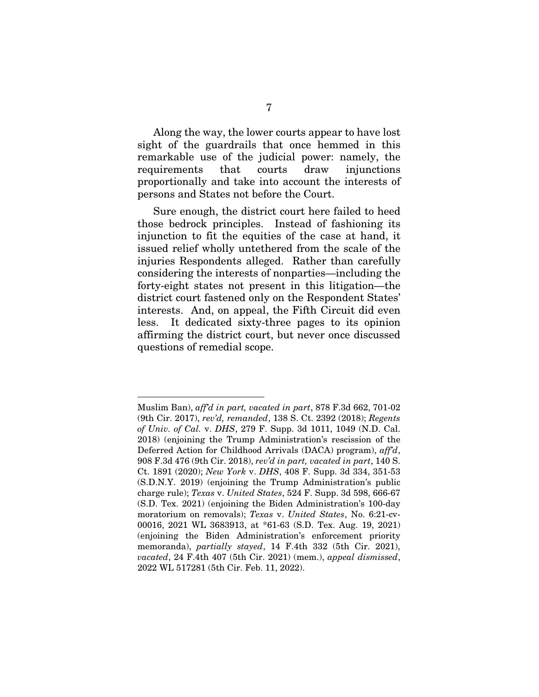Along the way, the lower courts appear to have lost sight of the guardrails that once hemmed in this remarkable use of the judicial power: namely, the requirements that courts draw injunctions proportionally and take into account the interests of persons and States not before the Court.

Sure enough, the district court here failed to heed those bedrock principles. Instead of fashioning its injunction to fit the equities of the case at hand, it issued relief wholly untethered from the scale of the injuries Respondents alleged. Rather than carefully considering the interests of nonparties—including the forty-eight states not present in this litigation—the district court fastened only on the Respondent States' interests. And, on appeal, the Fifth Circuit did even less. It dedicated sixty-three pages to its opinion affirming the district court, but never once discussed questions of remedial scope.

 $\overline{a}$ 

Muslim Ban), *aff'd in part, vacated in part*, 878 F.3d 662, 701-02 (9th Cir. 2017), *rev'd, remanded*, 138 S. Ct. 2392 (2018); *Regents of Univ. of Cal.* v. *DHS*, 279 F. Supp. 3d 1011, 1049 (N.D. Cal. 2018) (enjoining the Trump Administration's rescission of the Deferred Action for Childhood Arrivals (DACA) program), *aff'd*, 908 F.3d 476 (9th Cir. 2018), *rev'd in part, vacated in part*, 140 S. Ct. 1891 (2020); *New York* v. *DHS*, 408 F. Supp. 3d 334, 351-53 (S.D.N.Y. 2019) (enjoining the Trump Administration's public charge rule); *Texas* v. *United States*, 524 F. Supp. 3d 598, 666-67 (S.D. Tex. 2021) (enjoining the Biden Administration's 100-day moratorium on removals); *Texas* v. *United States*, No. 6:21-cv-00016, 2021 WL 3683913, at \*61-63 (S.D. Tex. Aug. 19, 2021) (enjoining the Biden Administration's enforcement priority memoranda), *partially stayed*, 14 F.4th 332 (5th Cir. 2021), *vacated*, 24 F.4th 407 (5th Cir. 2021) (mem.), *appeal dismissed*, 2022 WL 517281 (5th Cir. Feb. 11, 2022).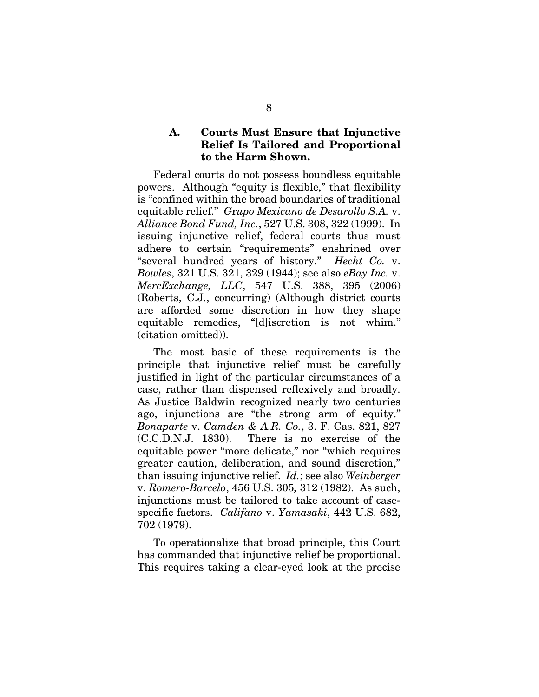#### A. Courts Must Ensure that Injunctive Relief Is Tailored and Proportional to the Harm Shown.

Federal courts do not possess boundless equitable powers. Although "equity is flexible," that flexibility is "confined within the broad boundaries of traditional equitable relief." *G*r*upo Mexicano de Desarollo S.A.* v. *Alliance Bond Fund, Inc.*, 527 U.S. 308, 322 (1999). In issuing injunctive relief, federal courts thus must adhere to certain "requirements" enshrined over "several hundred years of history." *Hecht Co.* v. *Bowles*, 321 U.S. 321, 329 (1944); see also *eBay Inc.* v. *MercExchange, LLC*, 547 U.S. 388, 395 (2006) (Roberts, C.J., concurring) (Although district courts are afforded some discretion in how they shape equitable remedies, "[d]iscretion is not whim." (citation omitted)).

The most basic of these requirements is the principle that injunctive relief must be carefully justified in light of the particular circumstances of a case, rather than dispensed reflexively and broadly. As Justice Baldwin recognized nearly two centuries ago, injunctions are "the strong arm of equity." *Bonaparte* v. *Camden & A.R. Co.*, 3. F. Cas. 821, 827 (C.C.D.N.J. 1830). There is no exercise of the equitable power "more delicate," nor "which requires greater caution, deliberation, and sound discretion," than issuing injunctive relief. *Id.*; see also *Weinberger*  v. *Romero-Barcelo*, 456 U.S. 305*,* 312 (1982). As such, injunctions must be tailored to take account of casespecific factors. *Califano* v. *Yamasaki*, 442 U.S. 682, 702 (1979).

To operationalize that broad principle, this Court has commanded that injunctive relief be proportional. This requires taking a clear-eyed look at the precise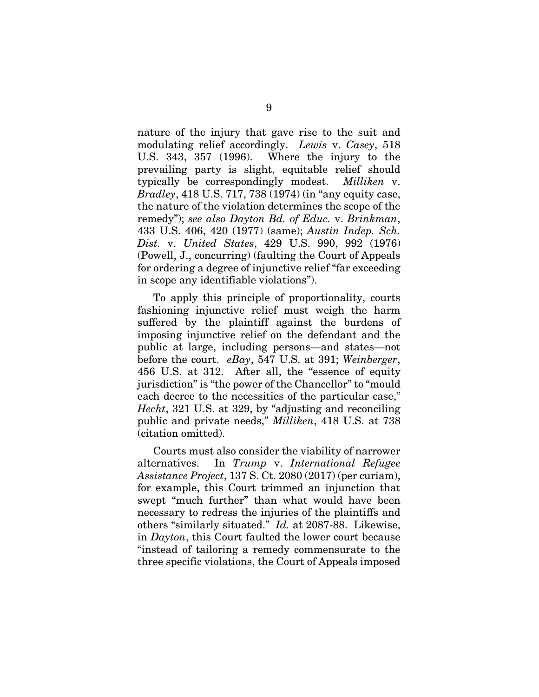nature of the injury that gave rise to the suit and modulating relief accordingly. *Lewis* v. *Casey*, 518 U.S. 343, 357 (1996). Where the injury to the prevailing party is slight, equitable relief should typically be correspondingly modest. *Milliken* v. *Bradley*, 418 U.S. 717, 738 (1974) (in "any equity case, the nature of the violation determines the scope of the remedy"); *see also Dayton Bd. of Educ.* v. *Brinkman*, 433 U.S. 406, 420 (1977) (same); *Austin Indep. Sch. Dist.* v. *United States*, 429 U.S. 990, 992 (1976) (Powell, J., concurring) (faulting the Court of Appeals for ordering a degree of injunctive relief "far exceeding in scope any identifiable violations").

To apply this principle of proportionality, courts fashioning injunctive relief must weigh the harm suffered by the plaintiff against the burdens of imposing injunctive relief on the defendant and the public at large, including persons—and states—not before the court. *eBay*, 547 U.S. at 391; *Weinberger*, 456 U.S. at 312. After all, the "essence of equity jurisdiction" is "the power of the Chancellor" to "mould each decree to the necessities of the particular case," *Hecht*, 321 U.S. at 329, by "adjusting and reconciling public and private needs," *Milliken*, 418 U.S. at 738 (citation omitted).

Courts must also consider the viability of narrower alternatives. In *Trump* v. *International Refugee Assistance Project*, 137 S. Ct. 2080 (2017) (per curiam), for example, this Court trimmed an injunction that swept "much further" than what would have been necessary to redress the injuries of the plaintiffs and others "similarly situated." *Id.* at 2087-88.Likewise, in *Dayton*, this Court faulted the lower court because "instead of tailoring a remedy commensurate to the three specific violations, the Court of Appeals imposed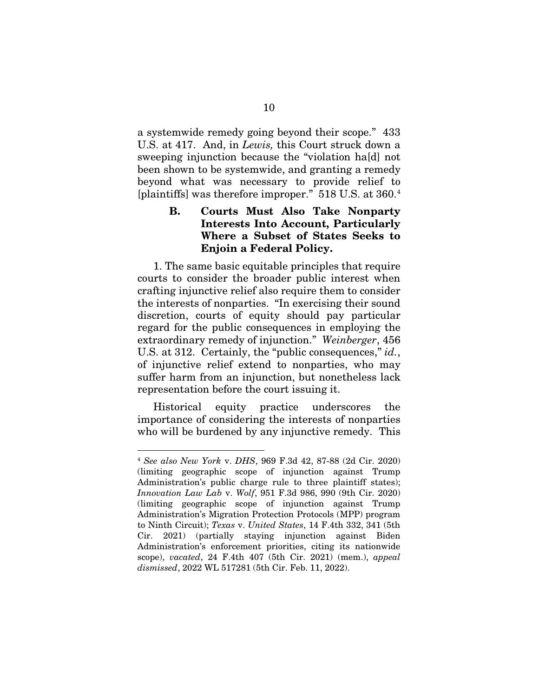a systemwide remedy going beyond their scope." 433 U.S. at 417. And, in *Lewis,* this Court struck down a sweeping injunction because the "violation ha[d] not been shown to be systemwide, and granting a remedy beyond what was necessary to provide relief to [plaintiffs] was therefore improper." 518 U.S. at 360. [4](#page-17-0)

## B. Courts Must Also Take Nonparty Interests Into Account, Particularly Where a Subset of States Seeks to Enjoin a Federal Policy.

1. The same basic equitable principles that require courts to consider the broader public interest when crafting injunctive relief also require them to consider the interests of nonparties. "In exercising their sound discretion, courts of equity should pay particular regard for the public consequences in employing the extraordinary remedy of injunction." *Weinberger*, 456 U.S. at 312. Certainly, the "public consequences," *id.*, of injunctive relief extend to nonparties, who may suffer harm from an injunction, but nonetheless lack representation before the court issuing it.

Historical equity practice underscores the importance of considering the interests of nonparties who will be burdened by any injunctive remedy. This

<span id="page-17-0"></span> <sup>4</sup> *See also New York* v. *DHS*, 969 F.3d 42, 87-88 (2d Cir. 2020) (limiting geographic scope of injunction against Trump Administration's public charge rule to three plaintiff states); *Innovation Law Lab* v. *Wolf*, 951 F.3d 986, 990 (9th Cir. 2020) (limiting geographic scope of injunction against Trump Administration's Migration Protection Protocols (MPP) program to Ninth Circuit); *Texas* v. *United States*, 14 F.4th 332, 341 (5th Cir. 2021) (partially staying injunction against Biden Administration's enforcement priorities, citing its nationwide scope), *vacated*, 24 F.4th 407 (5th Cir. 2021) (mem.), *appeal dismissed*, 2022 WL 517281 (5th Cir. Feb. 11, 2022).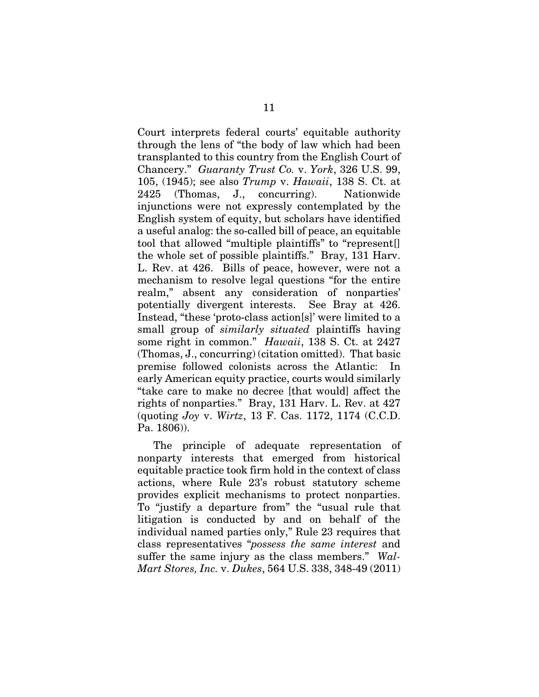Court interprets federal courts' equitable authority through the lens of "the body of law which had been transplanted to this country from the English Court of Chancery." *Guaranty Trust Co.* v. *York*, 326 U.S. 99, 105, (1945); see also *Trump* v. *Hawaii*, 138 S. Ct. at 2425 (Thomas, J., concurring). Nationwide injunctions were not expressly contemplated by the English system of equity, but scholars have identified a useful analog: the so-called bill of peace, an equitable tool that allowed "multiple plaintiffs" to "represent[] the whole set of possible plaintiffs." Bray, 131 Harv. L. Rev. at 426. Bills of peace, however, were not a mechanism to resolve legal questions "for the entire realm," absent any consideration of nonparties' potentially divergent interests. See Bray at 426. Instead, "these 'proto-class action[s]' were limited to a small group of *similarly situated* plaintiffs having some right in common." *Hawaii*, 138 S. Ct. at 2427 (Thomas, J., concurring) (citation omitted). That basic premise followed colonists across the Atlantic: In early American equity practice, courts would similarly "take care to make no decree [that would] affect the rights of nonparties." Bray, 131 Harv. L. Rev. at 427 (quoting *Joy* v. *Wirtz*, 13 F. Cas. 1172, 1174 (C.C.D. Pa. 1806)).

The principle of adequate representation of nonparty interests that emerged from historical equitable practice took firm hold in the context of class actions, where Rule 23's robust statutory scheme provides explicit mechanisms to protect nonparties. To "justify a departure from" the "usual rule that litigation is conducted by and on behalf of the individual named parties only," Rule 23 requires that class representatives "*possess the same interest* and suffer the same injury as the class members." *Wal-Mart Stores, Inc.* v. *Dukes*, 564 U.S. 338, 348-49 (2011)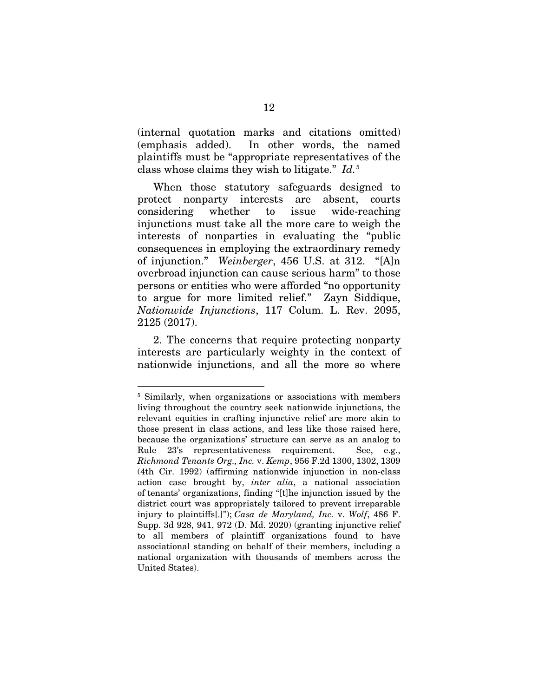(internal quotation marks and citations omitted) (emphasis added). In other words, the named plaintiffs must be "appropriate representatives of the class whose claims they wish to litigate." *Id.*[5](#page-19-0) 

When those statutory safeguards designed to protect nonparty interests are absent, courts considering whether to issue wide-reaching injunctions must take all the more care to weigh the interests of nonparties in evaluating the "public consequences in employing the extraordinary remedy of injunction." *Weinberger*, 456 U.S. at 312. "[A]n overbroad injunction can cause serious harm" to those persons or entities who were afforded "no opportunity to argue for more limited relief." Zayn Siddique, *Nationwide Injunctions*, 117 Colum. L. Rev. 2095, 2125 (2017).

2. The concerns that require protecting nonparty interests are particularly weighty in the context of nationwide injunctions, and all the more so where

<span id="page-19-0"></span><sup>&</sup>lt;sup>5</sup> Similarly, when organizations or associations with members living throughout the country seek nationwide injunctions, the relevant equities in crafting injunctive relief are more akin to those present in class actions, and less like those raised here, because the organizations' structure can serve as an analog to Rule 23's representativeness requirement. See, e.g., *Richmond Tenants Org., Inc.* v. *Kemp*, 956 F.2d 1300, 1302, 1309 (4th Cir. 1992) (affirming nationwide injunction in non-class action case brought by, *inter alia*, a national association of tenants' organizations, finding "[t]he injunction issued by the district court was appropriately tailored to prevent irreparable injury to plaintiffs[.]"); *Casa de Maryland, Inc.* v. *Wolf*, 486 F. Supp. 3d 928, 941, 972 (D. Md. 2020) (granting injunctive relief to all members of plaintiff organizations found to have associational standing on behalf of their members, including a national organization with thousands of members across the United States).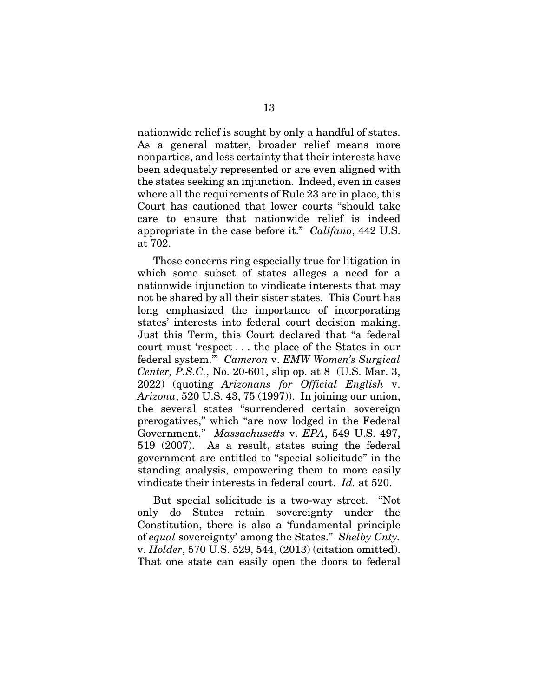nationwide relief is sought by only a handful of states. As a general matter, broader relief means more nonparties, and less certainty that their interests have been adequately represented or are even aligned with the states seeking an injunction. Indeed, even in cases where all the requirements of Rule 23 are in place, this Court has cautioned that lower courts "should take care to ensure that nationwide relief is indeed appropriate in the case before it." *Califano*, 442 U.S. at 702.

Those concerns ring especially true for litigation in which some subset of states alleges a need for a nationwide injunction to vindicate interests that may not be shared by all their sister states. This Court has long emphasized the importance of incorporating states' interests into federal court decision making. Just this Term, this Court declared that "a federal court must 'respect . . . the place of the States in our federal system.'" *Cameron* v. *EMW Women's Surgical Center, P.S.C.*, No. 20-601, slip op. at 8 (U.S. Mar. 3, 2022) (quoting *Arizonans for Official English* v. *Arizona*, 520 U.S. 43, 75 (1997)). In joining our union, the several states "surrendered certain sovereign prerogatives," which "are now lodged in the Federal Government." *Massachusetts* v. *EPA*, 549 U.S. 497, 519 (2007). As a result, states suing the federal government are entitled to "special solicitude" in the standing analysis, empowering them to more easily vindicate their interests in federal court. *Id.* at 520.

But special solicitude is a two-way street. "Not only do States retain sovereignty under the Constitution, there is also a 'fundamental principle of *equal* sovereignty' among the States." *Shelby Cnty.*  v. *Holder*, 570 U.S. 529, 544, (2013) (citation omitted). That one state can easily open the doors to federal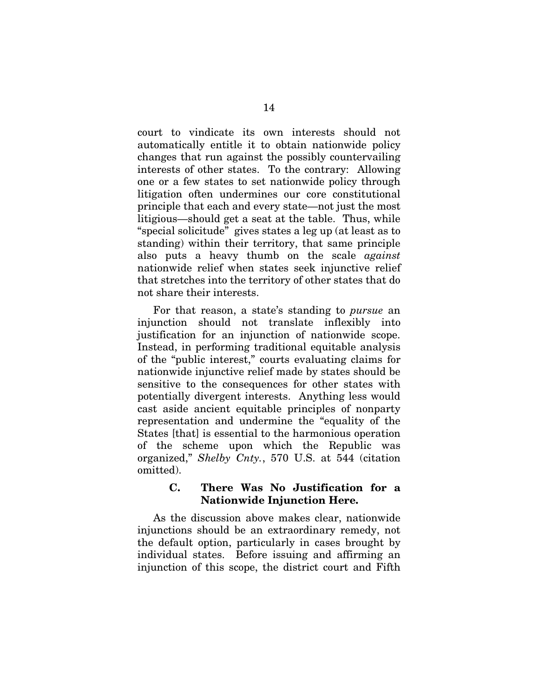court to vindicate its own interests should not automatically entitle it to obtain nationwide policy changes that run against the possibly countervailing interests of other states. To the contrary: Allowing one or a few states to set nationwide policy through litigation often undermines our core constitutional principle that each and every state—not just the most litigious—should get a seat at the table. Thus, while "special solicitude" gives states a leg up (at least as to standing) within their territory, that same principle also puts a heavy thumb on the scale *against* nationwide relief when states seek injunctive relief that stretches into the territory of other states that do not share their interests.

For that reason, a state's standing to *pursue* an injunction should not translate inflexibly into justification for an injunction of nationwide scope. Instead, in performing traditional equitable analysis of the "public interest," courts evaluating claims for nationwide injunctive relief made by states should be sensitive to the consequences for other states with potentially divergent interests. Anything less would cast aside ancient equitable principles of nonparty representation and undermine the "equality of the States [that] is essential to the harmonious operation of the scheme upon which the Republic was organized," *Shelby Cnty.*, 570 U.S. at 544 (citation omitted).

#### C. There Was No Justification for a Nationwide Injunction Here.

As the discussion above makes clear, nationwide injunctions should be an extraordinary remedy, not the default option, particularly in cases brought by individual states. Before issuing and affirming an injunction of this scope, the district court and Fifth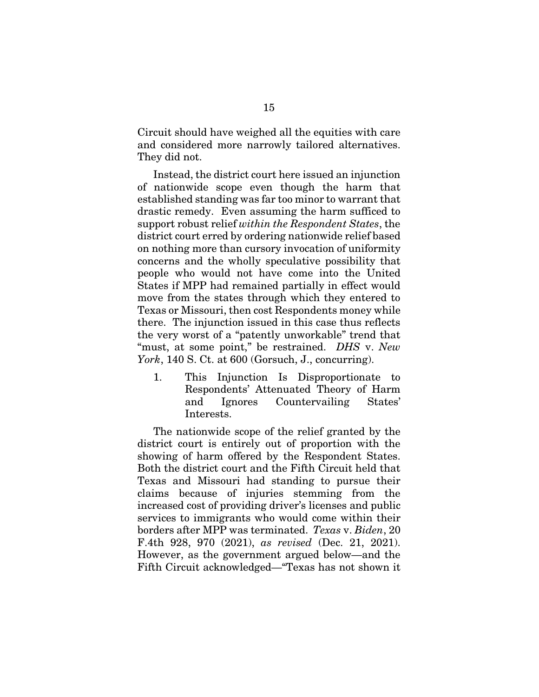Circuit should have weighed all the equities with care and considered more narrowly tailored alternatives. They did not.

Instead, the district court here issued an injunction of nationwide scope even though the harm that established standing was far too minor to warrant that drastic remedy. Even assuming the harm sufficed to support robust relief *within the Respondent States*, the district court erred by ordering nationwide relief based on nothing more than cursory invocation of uniformity concerns and the wholly speculative possibility that people who would not have come into the United States if MPP had remained partially in effect would move from the states through which they entered to Texas or Missouri, then cost Respondents money while there. The injunction issued in this case thus reflects the very worst of a "patently unworkable" trend that "must, at some point," be restrained. *DHS* v. *New York*, 140 S. Ct. at 600 (Gorsuch, J., concurring).

1. This Injunction Is Disproportionate to Respondents' Attenuated Theory of Harm and Ignores Countervailing States' Interests.

The nationwide scope of the relief granted by the district court is entirely out of proportion with the showing of harm offered by the Respondent States. Both the district court and the Fifth Circuit held that Texas and Missouri had standing to pursue their claims because of injuries stemming from the increased cost of providing driver's licenses and public services to immigrants who would come within their borders after MPP was terminated. *Texas* v. *Biden*, 20 F.4th 928, 970 (2021), *as revised* (Dec. 21, 2021). However, as the government argued below—and the Fifth Circuit acknowledged—"Texas has not shown it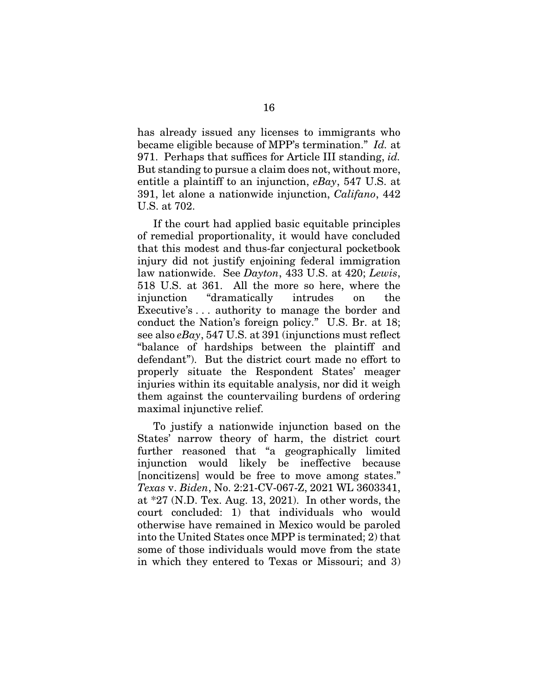has already issued any licenses to immigrants who became eligible because of MPP's termination." *Id.* at 971. Perhaps that suffices for Article III standing, *id.*  But standing to pursue a claim does not, without more, entitle a plaintiff to an injunction, *eBay*, 547 U.S. at 391, let alone a nationwide injunction, *Califano*, 442 U.S. at 702.

If the court had applied basic equitable principles of remedial proportionality, it would have concluded that this modest and thus-far conjectural pocketbook injury did not justify enjoining federal immigration law nationwide. See *Dayton*, 433 U.S. at 420; *Lewis*, 518 U.S. at 361. All the more so here, where the injunction "dramatically intrudes on the Executive's . . . authority to manage the border and conduct the Nation's foreign policy." U.S. Br. at 18; see also *eBay*, 547 U.S. at 391 (injunctions must reflect "balance of hardships between the plaintiff and defendant"). But the district court made no effort to properly situate the Respondent States' meager injuries within its equitable analysis, nor did it weigh them against the countervailing burdens of ordering maximal injunctive relief.

To justify a nationwide injunction based on the States' narrow theory of harm, the district court further reasoned that "a geographically limited injunction would likely be ineffective because [noncitizens] would be free to move among states." *Texas* v. *Biden*, No. 2:21-CV-067-Z, 2021 WL 3603341, at \*27 (N.D. Tex. Aug. 13, 2021). In other words, the court concluded: 1) that individuals who would otherwise have remained in Mexico would be paroled into the United States once MPP is terminated; 2) that some of those individuals would move from the state in which they entered to Texas or Missouri; and 3)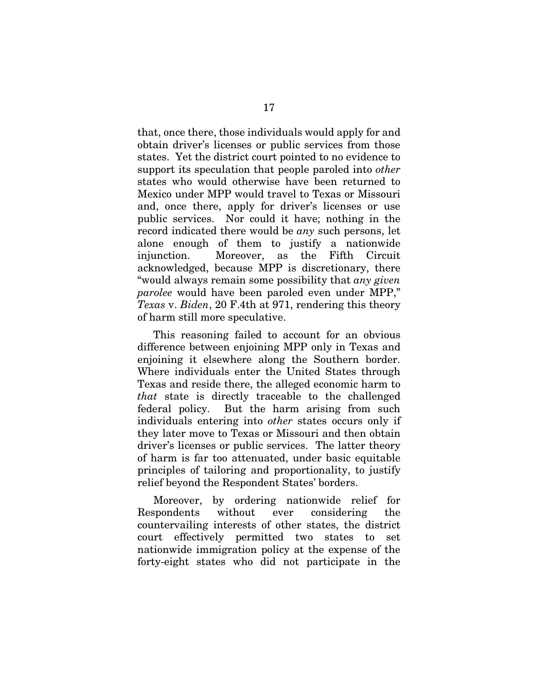that, once there, those individuals would apply for and obtain driver's licenses or public services from those states. Yet the district court pointed to no evidence to support its speculation that people paroled into *other* states who would otherwise have been returned to Mexico under MPP would travel to Texas or Missouri and, once there, apply for driver's licenses or use public services. Nor could it have; nothing in the record indicated there would be *any* such persons, let alone enough of them to justify a nationwide injunction. Moreover, as the Fifth Circuit acknowledged, because MPP is discretionary, there "would always remain some possibility that *any given parolee* would have been paroled even under MPP," *Texas* v. *Biden*, 20 F.4th at 971, rendering this theory of harm still more speculative.

This reasoning failed to account for an obvious difference between enjoining MPP only in Texas and enjoining it elsewhere along the Southern border. Where individuals enter the United States through Texas and reside there, the alleged economic harm to *that* state is directly traceable to the challenged federal policy. But the harm arising from such individuals entering into *other* states occurs only if they later move to Texas or Missouri and then obtain driver's licenses or public services. The latter theory of harm is far too attenuated, under basic equitable principles of tailoring and proportionality, to justify relief beyond the Respondent States' borders.

Moreover, by ordering nationwide relief for Respondents without ever considering the countervailing interests of other states, the district court effectively permitted two states to set nationwide immigration policy at the expense of the forty-eight states who did not participate in the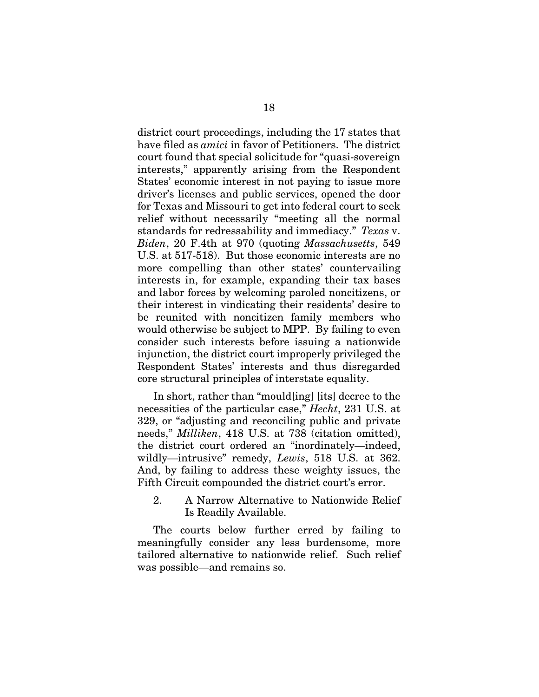district court proceedings, including the 17 states that have filed as *amici* in favor of Petitioners. The district court found that special solicitude for "quasi-sovereign interests," apparently arising from the Respondent States' economic interest in not paying to issue more driver's licenses and public services, opened the door for Texas and Missouri to get into federal court to seek relief without necessarily "meeting all the normal standards for redressability and immediacy." *Texas* v. *Biden*, 20 F.4th at 970 (quoting *Massachusetts*, 549 U.S. at 517-518). But those economic interests are no more compelling than other states' countervailing interests in, for example, expanding their tax bases and labor forces by welcoming paroled noncitizens, or their interest in vindicating their residents' desire to be reunited with noncitizen family members who would otherwise be subject to MPP. By failing to even consider such interests before issuing a nationwide injunction, the district court improperly privileged the Respondent States' interests and thus disregarded core structural principles of interstate equality.

In short, rather than "mould[ing] [its] decree to the necessities of the particular case," *Hecht*, 231 U.S. at 329, or "adjusting and reconciling public and private needs," *Milliken*, 418 U.S. at 738 (citation omitted), the district court ordered an "inordinately—indeed, wildly—intrusive" remedy, *Lewis*, 518 U.S. at 362. And, by failing to address these weighty issues, the Fifth Circuit compounded the district court's error.

2. A Narrow Alternative to Nationwide Relief Is Readily Available.

The courts below further erred by failing to meaningfully consider any less burdensome, more tailored alternative to nationwide relief. Such relief was possible—and remains so.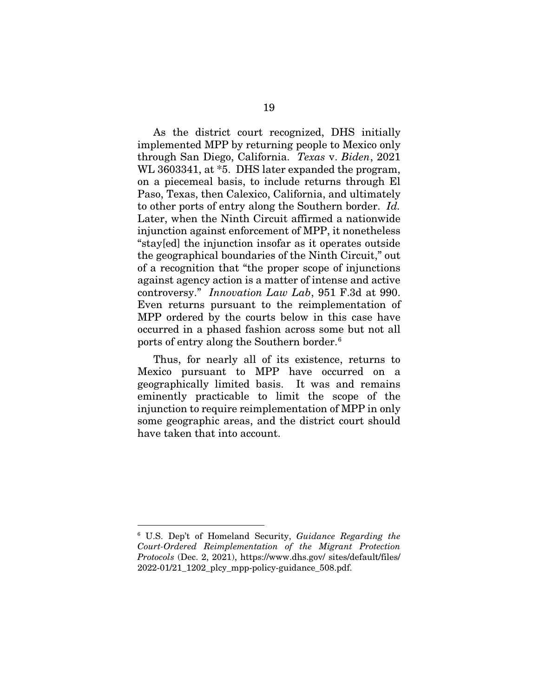As the district court recognized, DHS initially implemented MPP by returning people to Mexico only through San Diego, California. *Texas* v. *Biden*, 2021 WL 3603341, at  $*5$ . DHS later expanded the program, on a piecemeal basis, to include returns through El Paso, Texas, then Calexico, California, and ultimately to other ports of entry along the Southern border. *Id.*  Later, when the Ninth Circuit affirmed a nationwide injunction against enforcement of MPP, it nonetheless "stay[ed] the injunction insofar as it operates outside the geographical boundaries of the Ninth Circuit," out of a recognition that "the proper scope of injunctions against agency action is a matter of intense and active controversy." *Innovation Law Lab*, 951 F.3d at 990. Even returns pursuant to the reimplementation of MPP ordered by the courts below in this case have occurred in a phased fashion across some but not all ports of entry along the Southern border. [6](#page-26-0)

Thus, for nearly all of its existence, returns to Mexico pursuant to MPP have occurred on a geographically limited basis. It was and remains eminently practicable to limit the scope of the injunction to require reimplementation of MPP in only some geographic areas, and the district court should have taken that into account.

<span id="page-26-0"></span> <sup>6</sup> U.S. Dep't of Homeland Security, *Guidance Regarding the Court-Ordered Reimplementation of the Migrant Protection Protocols* (Dec. 2, 2021), https://www.dhs.gov/ sites/default/files/ 2022-01/21\_1202\_plcy\_mpp-policy-guidance\_508.pdf.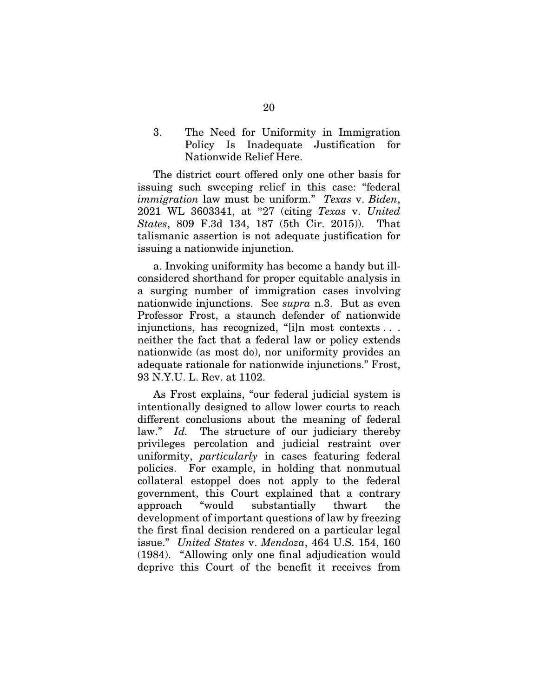3. The Need for Uniformity in Immigration Policy Is Inadequate Justification for Nationwide Relief Here.

The district court offered only one other basis for issuing such sweeping relief in this case: "federal *immigration* law must be uniform." *Texas* v. *Biden*, 2021 WL 3603341, at \*27 (citing *Texas* v. *United States*, 809 F.3d 134, 187 (5th Cir. 2015)). That talismanic assertion is not adequate justification for issuing a nationwide injunction.

a. Invoking uniformity has become a handy but illconsidered shorthand for proper equitable analysis in a surging number of immigration cases involving nationwide injunctions. See *supra* n.3. But as even Professor Frost, a staunch defender of nationwide injunctions, has recognized, "[i]n most contexts . . . neither the fact that a federal law or policy extends nationwide (as most do), nor uniformity provides an adequate rationale for nationwide injunctions." Frost, 93 N.Y.U. L. Rev. at 1102.

As Frost explains, "our federal judicial system is intentionally designed to allow lower courts to reach different conclusions about the meaning of federal law." *Id.* The structure of our judiciary thereby privileges percolation and judicial restraint over uniformity, *particularly* in cases featuring federal policies. For example, in holding that nonmutual collateral estoppel does not apply to the federal government, this Court explained that a contrary approach "would substantially thwart the development of important questions of law by freezing the first final decision rendered on a particular legal issue." *United States* v. *Mendoza*, 464 U.S. 154, 160 (1984). "Allowing only one final adjudication would deprive this Court of the benefit it receives from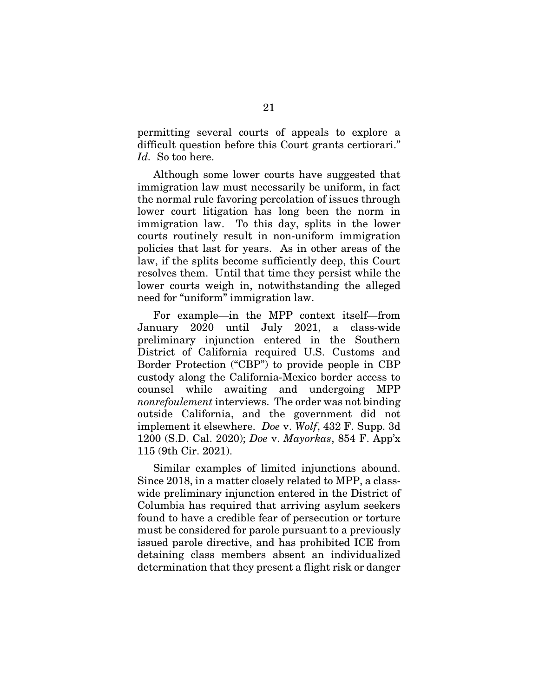permitting several courts of appeals to explore a difficult question before this Court grants certiorari." *Id.* So too here.

Although some lower courts have suggested that immigration law must necessarily be uniform, in fact the normal rule favoring percolation of issues through lower court litigation has long been the norm in immigration law. To this day, splits in the lower courts routinely result in non-uniform immigration policies that last for years. As in other areas of the law, if the splits become sufficiently deep, this Court resolves them. Until that time they persist while the lower courts weigh in, notwithstanding the alleged need for "uniform" immigration law.

For example—in the MPP context itself—from January 2020 until July 2021, a class-wide preliminary injunction entered in the Southern District of California required U.S. Customs and Border Protection ("CBP") to provide people in CBP custody along the California-Mexico border access to counsel while awaiting and undergoing MPP *nonrefoulement* interviews. The order was not binding outside California, and the government did not implement it elsewhere. *Doe* v. *Wolf*, 432 F. Supp. 3d 1200 (S.D. Cal. 2020); *Doe* v. *Mayorkas*, 854 F. App'x 115 (9th Cir. 2021).

Similar examples of limited injunctions abound. Since 2018, in a matter closely related to MPP, a classwide preliminary injunction entered in the District of Columbia has required that arriving asylum seekers found to have a credible fear of persecution or torture must be considered for parole pursuant to a previously issued parole directive, and has prohibited ICE from detaining class members absent an individualized determination that they present a flight risk or danger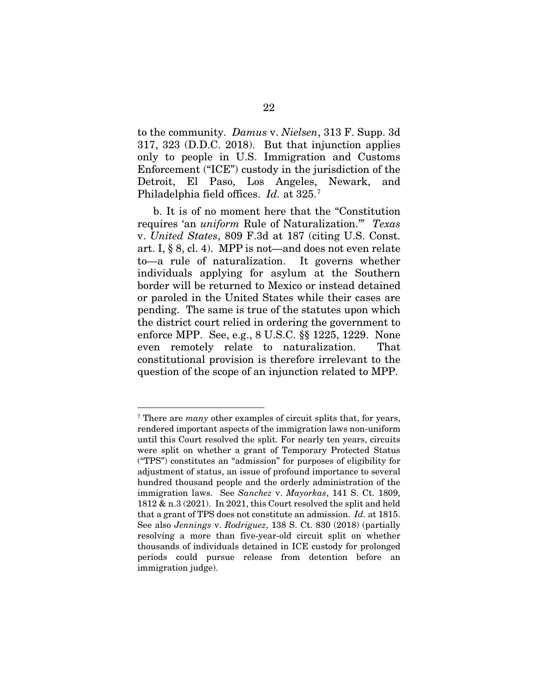to the community. *Damus* v. *Nielsen*, 313 F. Supp. 3d 317, 323 (D.D.C. 2018). But that injunction applies only to people in U.S. Immigration and Customs Enforcement ("ICE") custody in the jurisdiction of the Detroit, El Paso, Los Angeles, Newark, and Philadelphia field offices. *Id.* at 325.[7](#page-29-0)

b. It is of no moment here that the "Constitution requires 'an *uniform* Rule of Naturalization.'" *Texas*  v. *United States*, 809 F.3d at 187 (citing U.S. Const. art. I, § 8, cl. 4). MPP is not—and does not even relate to—a rule of naturalization. It governs whether individuals applying for asylum at the Southern border will be returned to Mexico or instead detained or paroled in the United States while their cases are pending. The same is true of the statutes upon which the district court relied in ordering the government to enforce MPP. See, e.g., 8 U.S.C. §§ 1225, 1229. None even remotely relate to naturalization. That constitutional provision is therefore irrelevant to the question of the scope of an injunction related to MPP.

<span id="page-29-0"></span> <sup>7</sup> There are *many* other examples of circuit splits that, for years, rendered important aspects of the immigration laws non-uniform until this Court resolved the split. For nearly ten years, circuits were split on whether a grant of Temporary Protected Status ("TPS") constitutes an "admission" for purposes of eligibility for adjustment of status, an issue of profound importance to several hundred thousand people and the orderly administration of the immigration laws. See *Sanchez* v. *Mayorkas*, 141 S. Ct. 1809, 1812 & n.3 (2021). In 2021, this Court resolved the split and held that a grant of TPS does not constitute an admission. *Id.* at 1815. See also *Jennings* v. *Rodriguez*, 138 S. Ct. 830 (2018) (partially resolving a more than five-year-old circuit split on whether thousands of individuals detained in ICE custody for prolonged periods could pursue release from detention before an immigration judge).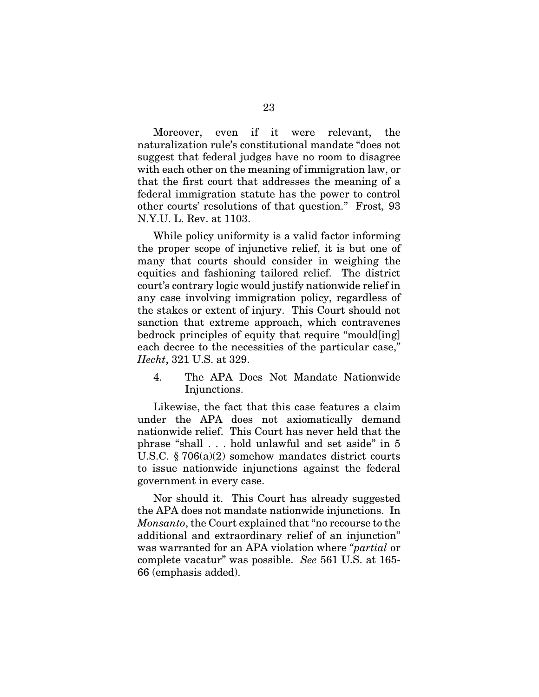Moreover, even if it were relevant, the naturalization rule's constitutional mandate "does not suggest that federal judges have no room to disagree with each other on the meaning of immigration law, or that the first court that addresses the meaning of a federal immigration statute has the power to control other courts' resolutions of that question." Frost*,* 93 N.Y.U. L. Rev. at 1103.

While policy uniformity is a valid factor informing the proper scope of injunctive relief, it is but one of many that courts should consider in weighing the equities and fashioning tailored relief. The district court's contrary logic would justify nationwide relief in any case involving immigration policy, regardless of the stakes or extent of injury. This Court should not sanction that extreme approach, which contravenes bedrock principles of equity that require "mould[ing] each decree to the necessities of the particular case," *Hecht*, 321 U.S. at 329.

4. The APA Does Not Mandate Nationwide Injunctions.

Likewise, the fact that this case features a claim under the APA does not axiomatically demand nationwide relief. This Court has never held that the phrase "shall . . . hold unlawful and set aside" in 5 U.S.C. § 706(a)(2) somehow mandates district courts to issue nationwide injunctions against the federal government in every case.

Nor should it. This Court has already suggested the APA does not mandate nationwide injunctions. In *Monsanto*, the Court explained that "no recourse to the additional and extraordinary relief of an injunction" was warranted for an APA violation where *"partial* or complete vacatur" was possible. *See* 561 U.S. at 165- 66 (emphasis added).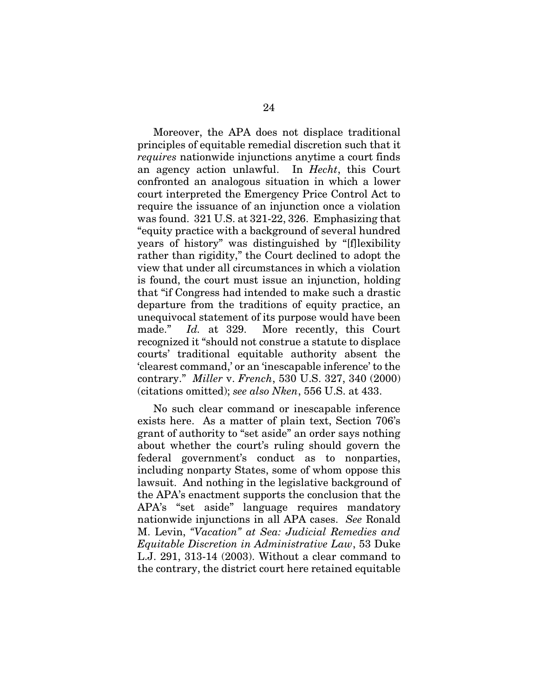Moreover, the APA does not displace traditional principles of equitable remedial discretion such that it *requires* nationwide injunctions anytime a court finds an agency action unlawful. In *Hecht*, this Court confronted an analogous situation in which a lower court interpreted the Emergency Price Control Act to require the issuance of an injunction once a violation was found. 321 U.S. at 321-22, 326. Emphasizing that "equity practice with a background of several hundred years of history" was distinguished by "[f]lexibility rather than rigidity," the Court declined to adopt the view that under all circumstances in which a violation is found, the court must issue an injunction, holding that "if Congress had intended to make such a drastic departure from the traditions of equity practice, an unequivocal statement of its purpose would have been made." *Id.* at 329. More recently, this Court recognized it "should not construe a statute to displace courts' traditional equitable authority absent the 'clearest command,' or an 'inescapable inference' to the contrary." *Miller* v. *French*, 530 U.S. 327, 340 (2000) (citations omitted); *see also Nken*, 556 U.S. at 433.

No such clear command or inescapable inference exists here. As a matter of plain text, Section 706's grant of authority to "set aside" an order says nothing about whether the court's ruling should govern the federal government's conduct as to nonparties, including nonparty States, some of whom oppose this lawsuit. And nothing in the legislative background of the APA's enactment supports the conclusion that the APA's "set aside" language requires mandatory nationwide injunctions in all APA cases. *See* Ronald M. Levin, *"Vacation" at Sea: Judicial Remedies and Equitable Discretion in Administrative Law*, 53 Duke L.J. 291, 313-14 (2003). Without a clear command to the contrary, the district court here retained equitable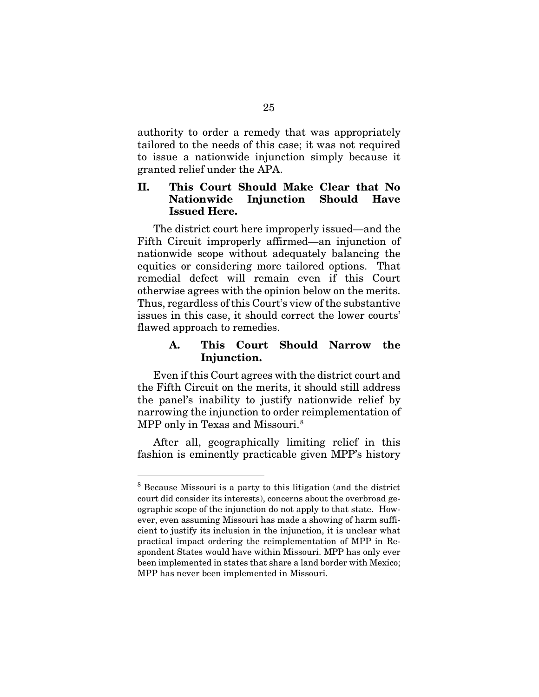authority to order a remedy that was appropriately tailored to the needs of this case; it was not required to issue a nationwide injunction simply because it granted relief under the APA.

### II. This Court Should Make Clear that No Nationwide Injunction Should Have Issued Here.

The district court here improperly issued—and the Fifth Circuit improperly affirmed—an injunction of nationwide scope without adequately balancing the equities or considering more tailored options. That remedial defect will remain even if this Court otherwise agrees with the opinion below on the merits. Thus, regardless of this Court's view of the substantive issues in this case, it should correct the lower courts' flawed approach to remedies.

### A. This Court Should Narrow the Injunction.

Even if this Court agrees with the district court and the Fifth Circuit on the merits, it should still address the panel's inability to justify nationwide relief by narrowing the injunction to order reimplementation of MPP only in Texas and Missouri.<sup>[8](#page-32-0)</sup>

After all, geographically limiting relief in this fashion is eminently practicable given MPP's history

<span id="page-32-0"></span> <sup>8</sup> Because Missouri is a party to this litigation (and the district court did consider its interests), concerns about the overbroad geographic scope of the injunction do not apply to that state. However, even assuming Missouri has made a showing of harm sufficient to justify its inclusion in the injunction, it is unclear what practical impact ordering the reimplementation of MPP in Respondent States would have within Missouri. MPP has only ever been implemented in states that share a land border with Mexico; MPP has never been implemented in Missouri.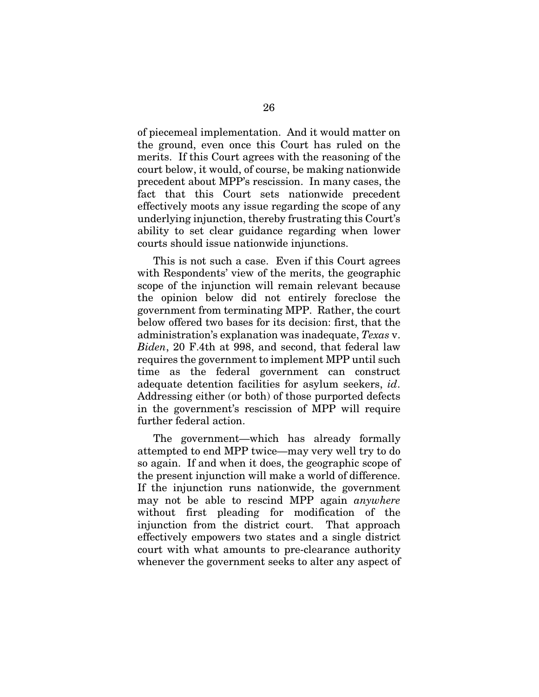of piecemeal implementation. And it would matter on the ground, even once this Court has ruled on the merits. If this Court agrees with the reasoning of the court below, it would, of course, be making nationwide precedent about MPP's rescission. In many cases, the fact that this Court sets nationwide precedent effectively moots any issue regarding the scope of any underlying injunction, thereby frustrating this Court's ability to set clear guidance regarding when lower courts should issue nationwide injunctions.

This is not such a case. Even if this Court agrees with Respondents' view of the merits, the geographic scope of the injunction will remain relevant because the opinion below did not entirely foreclose the government from terminating MPP. Rather, the court below offered two bases for its decision: first, that the administration's explanation was inadequate, *Texas* v. *Biden*, 20 F.4th at 998, and second, that federal law requires the government to implement MPP until such time as the federal government can construct adequate detention facilities for asylum seekers, *id*. Addressing either (or both) of those purported defects in the government's rescission of MPP will require further federal action.

The government—which has already formally attempted to end MPP twice—may very well try to do so again. If and when it does, the geographic scope of the present injunction will make a world of difference. If the injunction runs nationwide, the government may not be able to rescind MPP again *anywhere* without first pleading for modification of the injunction from the district court. That approach effectively empowers two states and a single district court with what amounts to pre-clearance authority whenever the government seeks to alter any aspect of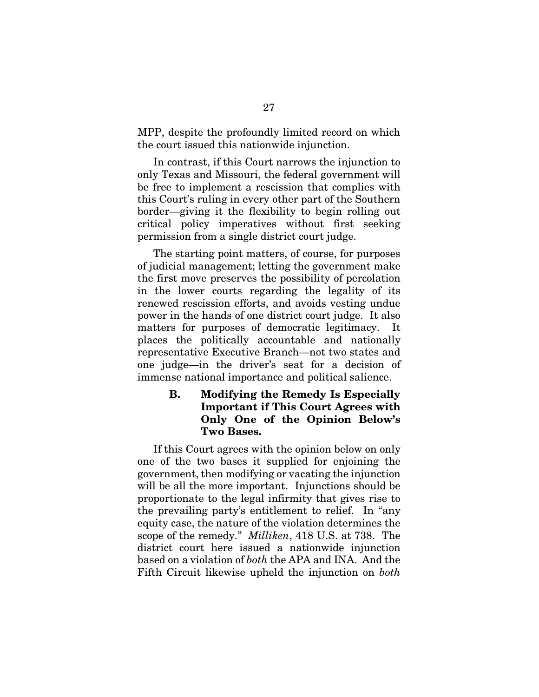MPP, despite the profoundly limited record on which the court issued this nationwide injunction.

In contrast, if this Court narrows the injunction to only Texas and Missouri, the federal government will be free to implement a rescission that complies with this Court's ruling in every other part of the Southern border—giving it the flexibility to begin rolling out critical policy imperatives without first seeking permission from a single district court judge.

The starting point matters, of course, for purposes of judicial management; letting the government make the first move preserves the possibility of percolation in the lower courts regarding the legality of its renewed rescission efforts, and avoids vesting undue power in the hands of one district court judge. It also matters for purposes of democratic legitimacy. It places the politically accountable and nationally representative Executive Branch—not two states and one judge—in the driver's seat for a decision of immense national importance and political salience.

## B. Modifying the Remedy Is Especially Important if This Court Agrees with Only One of the Opinion Below's Two Bases.

If this Court agrees with the opinion below on only one of the two bases it supplied for enjoining the government, then modifying or vacating the injunction will be all the more important. Injunctions should be proportionate to the legal infirmity that gives rise to the prevailing party's entitlement to relief. In "any equity case, the nature of the violation determines the scope of the remedy." *Milliken*, 418 U.S. at 738. The district court here issued a nationwide injunction based on a violation of *both* the APA and INA. And the Fifth Circuit likewise upheld the injunction on *both*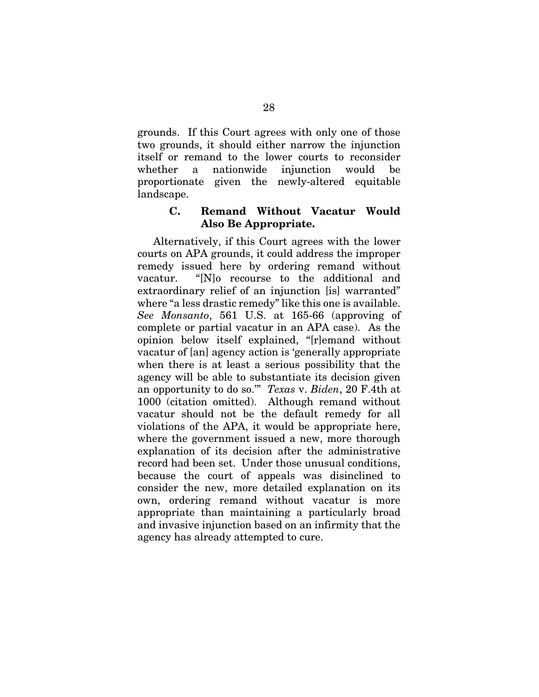grounds. If this Court agrees with only one of those two grounds, it should either narrow the injunction itself or remand to the lower courts to reconsider whether a nationwide injunction would be proportionate given the newly-altered equitable landscape.

#### C. Remand Without Vacatur Would Also Be Appropriate.

Alternatively, if this Court agrees with the lower courts on APA grounds, it could address the improper remedy issued here by ordering remand without vacatur. "[N]o recourse to the additional and extraordinary relief of an injunction [is] warranted" where "a less drastic remedy" like this one is available. *See Monsanto*, 561 U.S. at 165-66 (approving of complete or partial vacatur in an APA case). As the opinion below itself explained, "[r]emand without vacatur of [an] agency action is 'generally appropriate when there is at least a serious possibility that the agency will be able to substantiate its decision given an opportunity to do so.'" *Texas* v. *Biden*, 20 F.4th at 1000 (citation omitted). Although remand without vacatur should not be the default remedy for all violations of the APA, it would be appropriate here, where the government issued a new, more thorough explanation of its decision after the administrative record had been set. Under those unusual conditions, because the court of appeals was disinclined to consider the new, more detailed explanation on its own, ordering remand without vacatur is more appropriate than maintaining a particularly broad and invasive injunction based on an infirmity that the agency has already attempted to cure.